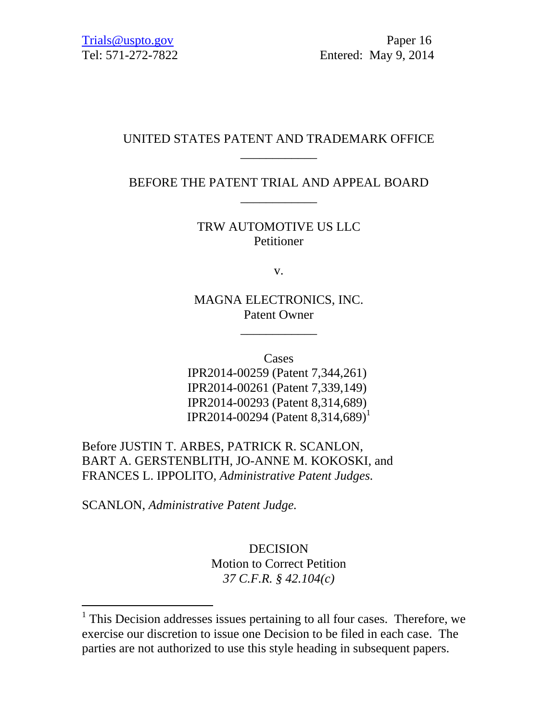Trials@uspto.gov Paper 16 Tel: 571-272-7822 Entered: May 9, 2014

## UNITED STATES PATENT AND TRADEMARK OFFICE \_\_\_\_\_\_\_\_\_\_\_\_

BEFORE THE PATENT TRIAL AND APPEAL BOARD \_\_\_\_\_\_\_\_\_\_\_\_

> TRW AUTOMOTIVE US LLC Petitioner

> > v.

MAGNA ELECTRONICS, INC. Patent Owner

\_\_\_\_\_\_\_\_\_\_\_\_

Cases

IPR2014-00259 (Patent 7,344,261) IPR2014-00261 (Patent 7,339,149) IPR2014-00293 (Patent 8,314,689) IPR2014-00294 (Patent 8,314,689)<sup>1</sup>

Before JUSTIN T. ARBES, PATRICK R. SCANLON, BART A. GERSTENBLITH, JO-ANNE M. KOKOSKI, and FRANCES L. IPPOLITO, *Administrative Patent Judges.* 

SCANLON, *Administrative Patent Judge.*

 $\overline{a}$ 

DECISION Motion to Correct Petition *37 C.F.R. § 42.104(c)* 

<sup>&</sup>lt;sup>1</sup> This Decision addresses issues pertaining to all four cases. Therefore, we exercise our discretion to issue one Decision to be filed in each case. The parties are not authorized to use this style heading in subsequent papers.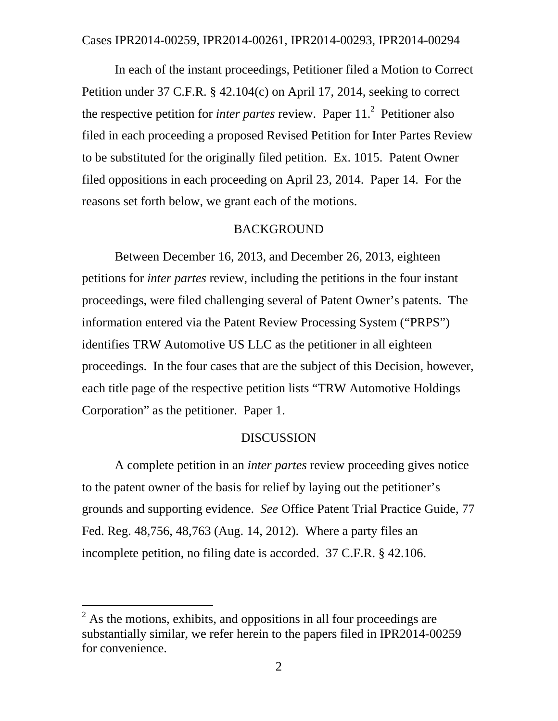In each of the instant proceedings, Petitioner filed a Motion to Correct Petition under 37 C.F.R. § 42.104(c) on April 17, 2014, seeking to correct the respective petition for *inter partes* review. Paper 11.<sup>2</sup> Petitioner also filed in each proceeding a proposed Revised Petition for Inter Partes Review to be substituted for the originally filed petition. Ex. 1015. Patent Owner filed oppositions in each proceeding on April 23, 2014. Paper 14. For the reasons set forth below, we grant each of the motions.

#### BACKGROUND

Between December 16, 2013, and December 26, 2013, eighteen petitions for *inter partes* review, including the petitions in the four instant proceedings, were filed challenging several of Patent Owner's patents. The information entered via the Patent Review Processing System ("PRPS") identifies TRW Automotive US LLC as the petitioner in all eighteen proceedings. In the four cases that are the subject of this Decision, however, each title page of the respective petition lists "TRW Automotive Holdings Corporation" as the petitioner. Paper 1.

### DISCUSSION

A complete petition in an *inter partes* review proceeding gives notice to the patent owner of the basis for relief by laying out the petitioner's grounds and supporting evidence. *See* Office Patent Trial Practice Guide, 77 Fed. Reg. 48,756, 48,763 (Aug. 14, 2012). Where a party files an incomplete petition, no filing date is accorded. 37 C.F.R. § 42.106.

 $\overline{a}$ 

 $2^{2}$  As the motions, exhibits, and oppositions in all four proceedings are substantially similar, we refer herein to the papers filed in IPR2014-00259 for convenience.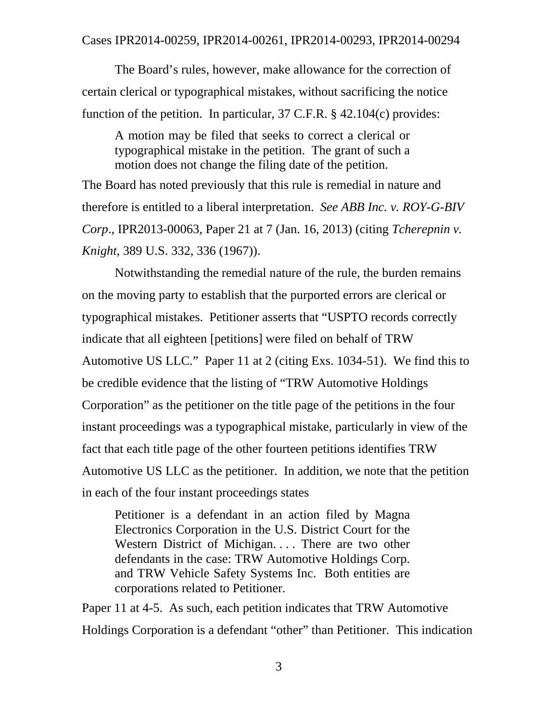The Board's rules, however, make allowance for the correction of certain clerical or typographical mistakes, without sacrificing the notice function of the petition. In particular, 37 C.F.R. § 42.104(c) provides:

A motion may be filed that seeks to correct a clerical or typographical mistake in the petition. The grant of such a motion does not change the filing date of the petition.

The Board has noted previously that this rule is remedial in nature and therefore is entitled to a liberal interpretation. *See ABB Inc. v. ROY-G-BIV Corp*., IPR2013-00063, Paper 21 at 7 (Jan. 16, 2013) (citing *Tcherepnin v. Knight*, 389 U.S. 332, 336 (1967)).

Notwithstanding the remedial nature of the rule, the burden remains on the moving party to establish that the purported errors are clerical or typographical mistakes. Petitioner asserts that "USPTO records correctly indicate that all eighteen [petitions] were filed on behalf of TRW Automotive US LLC." Paper 11 at 2 (citing Exs. 1034-51). We find this to be credible evidence that the listing of "TRW Automotive Holdings Corporation" as the petitioner on the title page of the petitions in the four instant proceedings was a typographical mistake, particularly in view of the fact that each title page of the other fourteen petitions identifies TRW Automotive US LLC as the petitioner. In addition, we note that the petition in each of the four instant proceedings states

Petitioner is a defendant in an action filed by Magna Electronics Corporation in the U.S. District Court for the Western District of Michigan. . . . There are two other defendants in the case: TRW Automotive Holdings Corp. and TRW Vehicle Safety Systems Inc. Both entities are corporations related to Petitioner.

Paper 11 at 4-5. As such, each petition indicates that TRW Automotive Holdings Corporation is a defendant "other" than Petitioner. This indication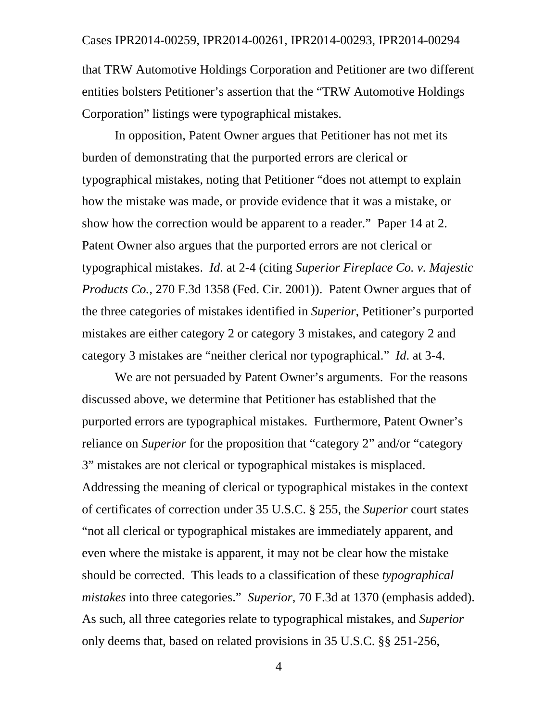that TRW Automotive Holdings Corporation and Petitioner are two different entities bolsters Petitioner's assertion that the "TRW Automotive Holdings Corporation" listings were typographical mistakes.

In opposition, Patent Owner argues that Petitioner has not met its burden of demonstrating that the purported errors are clerical or typographical mistakes, noting that Petitioner "does not attempt to explain how the mistake was made, or provide evidence that it was a mistake, or show how the correction would be apparent to a reader." Paper 14 at 2. Patent Owner also argues that the purported errors are not clerical or typographical mistakes. *Id*. at 2-4 (citing *Superior Fireplace Co. v. Majestic Products Co.*, 270 F.3d 1358 (Fed. Cir. 2001)). Patent Owner argues that of the three categories of mistakes identified in *Superior*, Petitioner's purported mistakes are either category 2 or category 3 mistakes, and category 2 and category 3 mistakes are "neither clerical nor typographical." *Id*. at 3-4.

We are not persuaded by Patent Owner's arguments. For the reasons discussed above, we determine that Petitioner has established that the purported errors are typographical mistakes. Furthermore, Patent Owner's reliance on *Superior* for the proposition that "category 2" and/or "category 3" mistakes are not clerical or typographical mistakes is misplaced. Addressing the meaning of clerical or typographical mistakes in the context of certificates of correction under 35 U.S.C. § 255, the *Superior* court states "not all clerical or typographical mistakes are immediately apparent, and even where the mistake is apparent, it may not be clear how the mistake should be corrected. This leads to a classification of these *typographical mistakes* into three categories." *Superior*, 70 F.3d at 1370 (emphasis added). As such, all three categories relate to typographical mistakes, and *Superior* only deems that, based on related provisions in 35 U.S.C. §§ 251-256,

4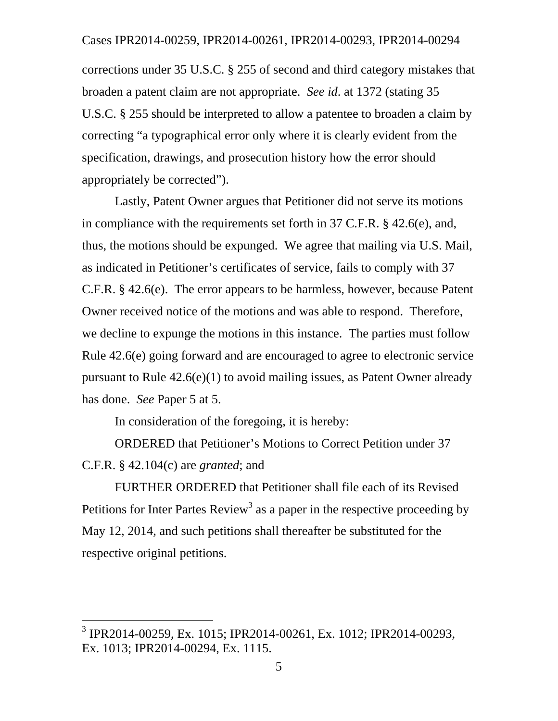corrections under 35 U.S.C. § 255 of second and third category mistakes that broaden a patent claim are not appropriate. *See id*. at 1372 (stating 35 U.S.C. § 255 should be interpreted to allow a patentee to broaden a claim by correcting "a typographical error only where it is clearly evident from the specification, drawings, and prosecution history how the error should appropriately be corrected").

Lastly, Patent Owner argues that Petitioner did not serve its motions in compliance with the requirements set forth in 37 C.F.R. § 42.6(e), and, thus, the motions should be expunged. We agree that mailing via U.S. Mail, as indicated in Petitioner's certificates of service, fails to comply with 37 C.F.R. § 42.6(e). The error appears to be harmless, however, because Patent Owner received notice of the motions and was able to respond. Therefore, we decline to expunge the motions in this instance. The parties must follow Rule 42.6(e) going forward and are encouraged to agree to electronic service pursuant to Rule 42.6(e)(1) to avoid mailing issues, as Patent Owner already has done. *See* Paper 5 at 5.

In consideration of the foregoing, it is hereby:

-

ORDERED that Petitioner's Motions to Correct Petition under 37 C.F.R. § 42.104(c) are *granted*; and

FURTHER ORDERED that Petitioner shall file each of its Revised Petitions for Inter Partes Review<sup>3</sup> as a paper in the respective proceeding by May 12, 2014, and such petitions shall thereafter be substituted for the respective original petitions.

<sup>3</sup> IPR2014-00259, Ex. 1015; IPR2014-00261, Ex. 1012; IPR2014-00293, Ex. 1013; IPR2014-00294, Ex. 1115.